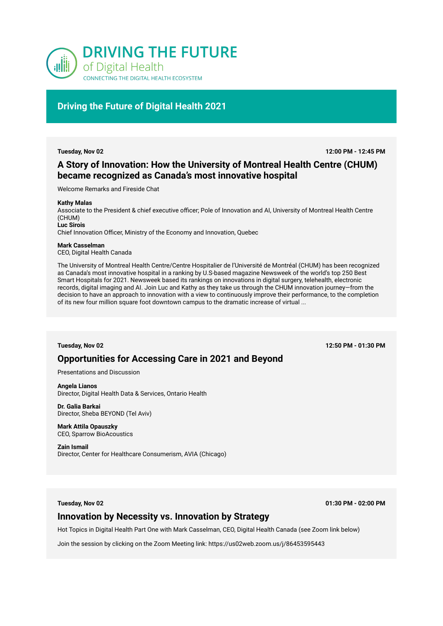

# **Driving the Future of Digital Health 2021**

**Tuesday, Nov 02 12:00 PM - 12:45 PM**

# **A Story of Innovation: How the University of Montreal Health Centre (CHUM) became recognized as Canada's most innovative hospital**

Welcome Remarks and Fireside Chat

#### **Kathy Malas**

Associate to the President & chief executive officer; Pole of Innovation and AI, University of Montreal Health Centre (CHUM) **Luc Sirois**  Chief Innovation Officer, Ministry of the Economy and Innovation, Quebec

#### **Mark Casselman**

CEO, Digital Health Canada

The University of Montreal Health Centre/Centre Hospitalier de l'Université de Montréal (CHUM) has been recognized as Canada's most innovative hospital in a ranking by U.S-based magazine Newsweek of the world's top 250 Best Smart Hospitals for 2021. Newsweek based its rankings on innovations in digital surgery, telehealth, electronic records, digital imaging and AI. Join Luc and Kathy as they take us through the CHUM innovation journey—from the decision to have an approach to innovation with a view to continuously improve their performance, to the completion of its new four million square foot downtown campus to the dramatic increase of virtual ...

**Tuesday, Nov 02 12:50 PM - 01:30 PM**

# **Opportunities for Accessing Care in 2021 and Beyond**

Presentations and Discussion

**Angela Lianos**  Director, Digital Health Data & Services, Ontario Health

**Dr. Galia Barkai**  Director, Sheba BEYOND (Tel Aviv)

**Mark Attila Opauszky**  CEO, Sparrow BioAcoustics

**Zain Ismail**  Director, Center for Healthcare Consumerism, AVIA (Chicago)

**Tuesday, Nov 02 01:30 PM - 02:00 PM**

## **Innovation by Necessity vs. Innovation by Strategy**

Hot Topics in Digital Health Part One with Mark Casselman, CEO, Digital Health Canada (see Zoom link below)

Join the session by clicking on the Zoom Meeting link: https://us02web.zoom.us/j/86453595443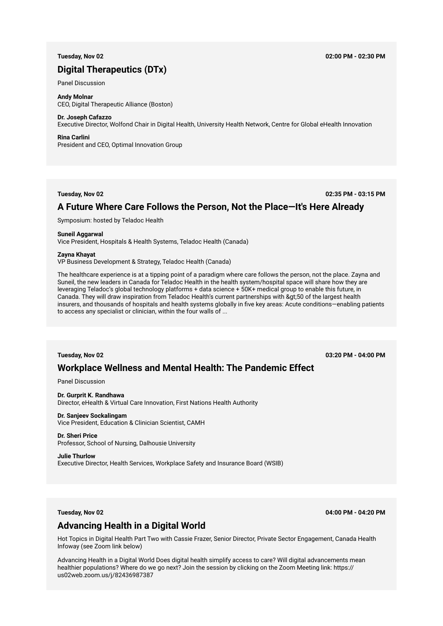# **Digital Therapeutics (DTx)**

#### Panel Discussion

**Andy Molnar**  CEO, Digital Therapeutic Alliance (Boston)

### **Dr. Joseph Cafazzo**

Executive Director, Wolfond Chair in Digital Health, University Health Network, Centre for Global eHealth Innovation

#### **Rina Carlini**

President and CEO, Optimal Innovation Group

**Tuesday, Nov 02 02:35 PM - 03:15 PM**

## **A Future Where Care Follows the Person, Not the Place—It's Here Already**

Symposium: hosted by Teladoc Health

#### **Suneil Aggarwal**

Vice President, Hospitals & Health Systems, Teladoc Health (Canada)

#### **Zayna Khayat**

VP Business Development & Strategy, Teladoc Health (Canada)

The healthcare experience is at a tipping point of a paradigm where care follows the person, not the place. Zayna and Suneil, the new leaders in Canada for Teladoc Health in the health system/hospital space will share how they are leveraging Teladoc's global technology platforms + data science + 50K+ medical group to enable this future, in Canada. They will draw inspiration from Teladoc Health's current partnerships with >50 of the largest health insurers, and thousands of hospitals and health systems globally in five key areas: Acute conditions—enabling patients to access any specialist or clinician, within the four walls of ...

**Tuesday, Nov 02 03:20 PM - 04:00 PM**

# **Workplace Wellness and Mental Health: The Pandemic Effect**

Panel Discussion

#### **Dr. Gurprit K. Randhawa**

Director, eHealth & Virtual Care Innovation, First Nations Health Authority

#### **Dr. Sanjeev Sockalingam**  Vice President, Education & Clinician Scientist, CAMH

**Dr. Sheri Price**  Professor, School of Nursing, Dalhousie University

#### **Julie Thurlow**

Executive Director, Health Services, Workplace Safety and Insurance Board (WSIB)

**Tuesday, Nov 02 04:00 PM - 04:20 PM**

# **Advancing Health in a Digital World**

Hot Topics in Digital Health Part Two with Cassie Frazer, Senior Director, Private Sector Engagement, Canada Health Infoway (see Zoom link below)

Advancing Health in a Digital World Does digital health simplify access to care? Will digital advancements mean healthier populations? Where do we go next? Join the session by clicking on the Zoom Meeting link: https:// us02web.zoom.us/j/82436987387

### **Tuesday, Nov 02 02:00 PM - 02:30 PM**